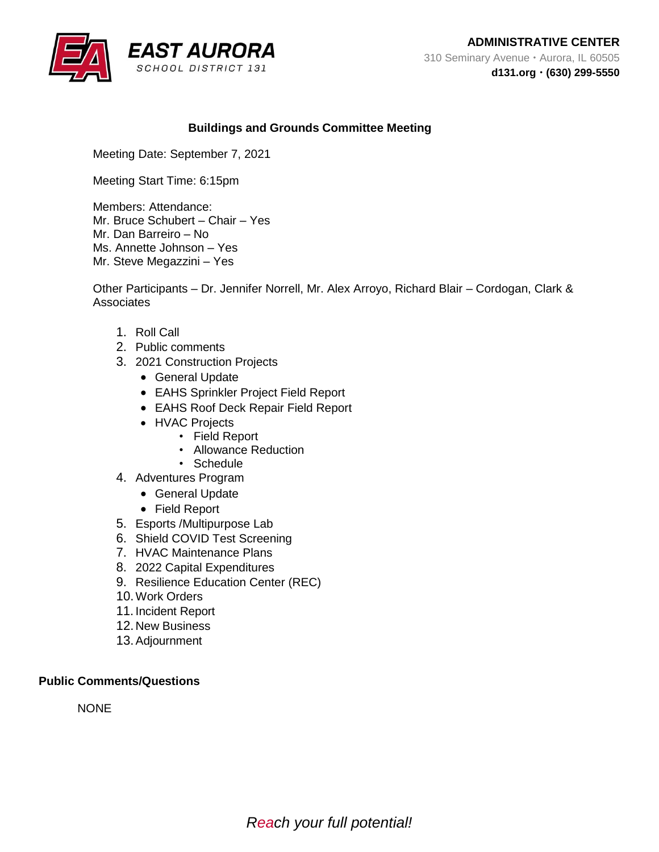

# **Buildings and Grounds Committee Meeting**

Meeting Date: September 7, 2021

Meeting Start Time: 6:15pm

Members: Attendance: Mr. Bruce Schubert – Chair – Yes Mr. Dan Barreiro – No Ms. Annette Johnson – Yes Mr. Steve Megazzini – Yes

Other Participants – Dr. Jennifer Norrell, Mr. Alex Arroyo, Richard Blair – Cordogan, Clark & **Associates** 

- 1. Roll Call
- 2. Public comments
- 3. 2021 Construction Projects
	- General Update
	- EAHS Sprinkler Project Field Report
	- EAHS Roof Deck Repair Field Report
	- HVAC Projects
		- Field Report
		- Allowance Reduction
		- Schedule
- 4. Adventures Program
	- General Update
	- Field Report
- 5. Esports /Multipurpose Lab
- 6. Shield COVID Test Screening
- 7. HVAC Maintenance Plans
- 8. 2022 Capital Expenditures
- 9. Resilience Education Center (REC)
- 10.Work Orders
- 11. Incident Report
- 12. New Business
- 13.Adjournment

#### **Public Comments/Questions**

**NONE**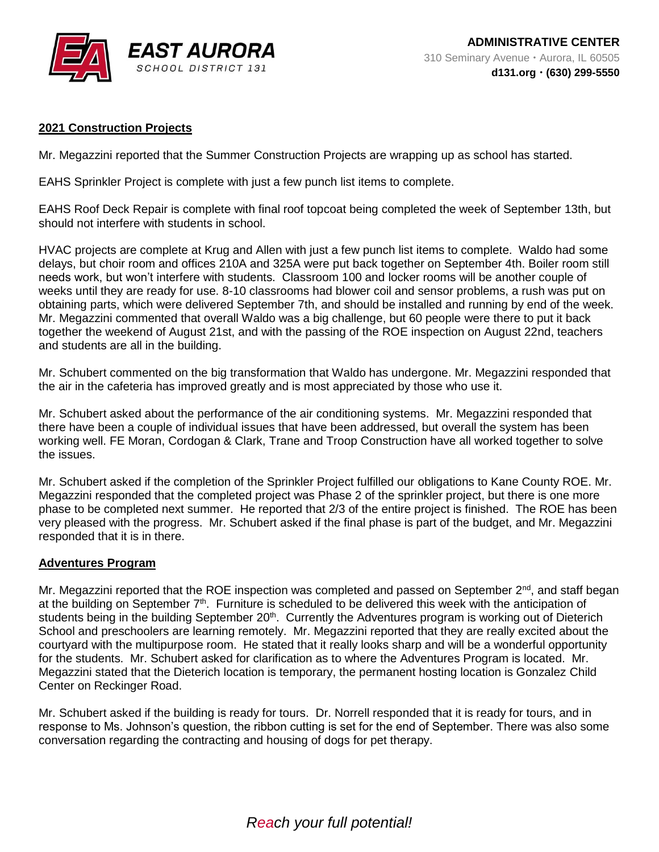

# **2021 Construction Projects**

Mr. Megazzini reported that the Summer Construction Projects are wrapping up as school has started.

EAHS Sprinkler Project is complete with just a few punch list items to complete.

EAHS Roof Deck Repair is complete with final roof topcoat being completed the week of September 13th, but should not interfere with students in school.

HVAC projects are complete at Krug and Allen with just a few punch list items to complete. Waldo had some delays, but choir room and offices 210A and 325A were put back together on September 4th. Boiler room still needs work, but won't interfere with students. Classroom 100 and locker rooms will be another couple of weeks until they are ready for use. 8-10 classrooms had blower coil and sensor problems, a rush was put on obtaining parts, which were delivered September 7th, and should be installed and running by end of the week. Mr. Megazzini commented that overall Waldo was a big challenge, but 60 people were there to put it back together the weekend of August 21st, and with the passing of the ROE inspection on August 22nd, teachers and students are all in the building.

Mr. Schubert commented on the big transformation that Waldo has undergone. Mr. Megazzini responded that the air in the cafeteria has improved greatly and is most appreciated by those who use it.

Mr. Schubert asked about the performance of the air conditioning systems. Mr. Megazzini responded that there have been a couple of individual issues that have been addressed, but overall the system has been working well. FE Moran, Cordogan & Clark, Trane and Troop Construction have all worked together to solve the issues.

Mr. Schubert asked if the completion of the Sprinkler Project fulfilled our obligations to Kane County ROE. Mr. Megazzini responded that the completed project was Phase 2 of the sprinkler project, but there is one more phase to be completed next summer. He reported that 2/3 of the entire project is finished. The ROE has been very pleased with the progress. Mr. Schubert asked if the final phase is part of the budget, and Mr. Megazzini responded that it is in there.

## **Adventures Program**

Mr. Megazzini reported that the ROE inspection was completed and passed on September  $2<sup>nd</sup>$ , and staff began at the building on September  $7<sup>th</sup>$ . Furniture is scheduled to be delivered this week with the anticipation of students being in the building September 20<sup>th</sup>. Currently the Adventures program is working out of Dieterich School and preschoolers are learning remotely. Mr. Megazzini reported that they are really excited about the courtyard with the multipurpose room. He stated that it really looks sharp and will be a wonderful opportunity for the students. Mr. Schubert asked for clarification as to where the Adventures Program is located. Mr. Megazzini stated that the Dieterich location is temporary, the permanent hosting location is Gonzalez Child Center on Reckinger Road.

Mr. Schubert asked if the building is ready for tours. Dr. Norrell responded that it is ready for tours, and in response to Ms. Johnson's question, the ribbon cutting is set for the end of September. There was also some conversation regarding the contracting and housing of dogs for pet therapy.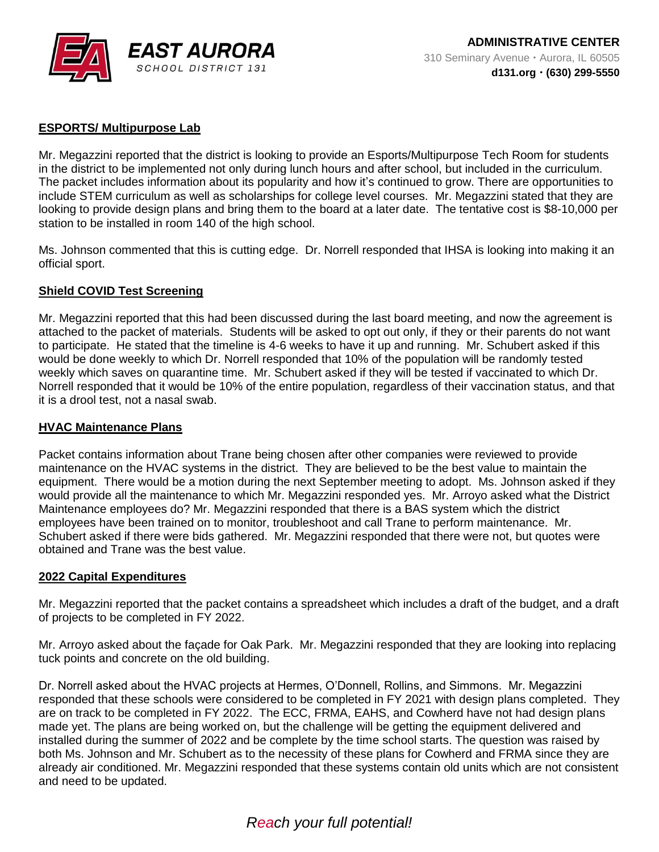

# **ESPORTS/ Multipurpose Lab**

Mr. Megazzini reported that the district is looking to provide an Esports/Multipurpose Tech Room for students in the district to be implemented not only during lunch hours and after school, but included in the curriculum. The packet includes information about its popularity and how it's continued to grow. There are opportunities to include STEM curriculum as well as scholarships for college level courses. Mr. Megazzini stated that they are looking to provide design plans and bring them to the board at a later date. The tentative cost is \$8-10,000 per station to be installed in room 140 of the high school.

Ms. Johnson commented that this is cutting edge. Dr. Norrell responded that IHSA is looking into making it an official sport.

#### **Shield COVID Test Screening**

Mr. Megazzini reported that this had been discussed during the last board meeting, and now the agreement is attached to the packet of materials. Students will be asked to opt out only, if they or their parents do not want to participate. He stated that the timeline is 4-6 weeks to have it up and running. Mr. Schubert asked if this would be done weekly to which Dr. Norrell responded that 10% of the population will be randomly tested weekly which saves on quarantine time. Mr. Schubert asked if they will be tested if vaccinated to which Dr. Norrell responded that it would be 10% of the entire population, regardless of their vaccination status, and that it is a drool test, not a nasal swab.

#### **HVAC Maintenance Plans**

Packet contains information about Trane being chosen after other companies were reviewed to provide maintenance on the HVAC systems in the district. They are believed to be the best value to maintain the equipment. There would be a motion during the next September meeting to adopt. Ms. Johnson asked if they would provide all the maintenance to which Mr. Megazzini responded yes. Mr. Arroyo asked what the District Maintenance employees do? Mr. Megazzini responded that there is a BAS system which the district employees have been trained on to monitor, troubleshoot and call Trane to perform maintenance. Mr. Schubert asked if there were bids gathered. Mr. Megazzini responded that there were not, but quotes were obtained and Trane was the best value.

#### **2022 Capital Expenditures**

Mr. Megazzini reported that the packet contains a spreadsheet which includes a draft of the budget, and a draft of projects to be completed in FY 2022.

Mr. Arroyo asked about the façade for Oak Park. Mr. Megazzini responded that they are looking into replacing tuck points and concrete on the old building.

Dr. Norrell asked about the HVAC projects at Hermes, O'Donnell, Rollins, and Simmons. Mr. Megazzini responded that these schools were considered to be completed in FY 2021 with design plans completed. They are on track to be completed in FY 2022. The ECC, FRMA, EAHS, and Cowherd have not had design plans made yet. The plans are being worked on, but the challenge will be getting the equipment delivered and installed during the summer of 2022 and be complete by the time school starts. The question was raised by both Ms. Johnson and Mr. Schubert as to the necessity of these plans for Cowherd and FRMA since they are already air conditioned. Mr. Megazzini responded that these systems contain old units which are not consistent and need to be updated.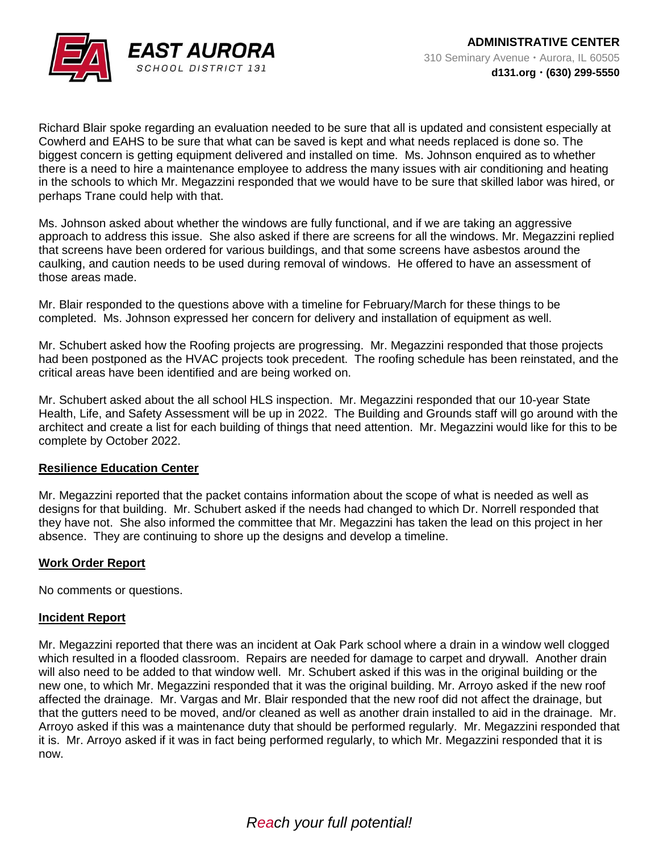

Richard Blair spoke regarding an evaluation needed to be sure that all is updated and consistent especially at Cowherd and EAHS to be sure that what can be saved is kept and what needs replaced is done so. The biggest concern is getting equipment delivered and installed on time. Ms. Johnson enquired as to whether there is a need to hire a maintenance employee to address the many issues with air conditioning and heating in the schools to which Mr. Megazzini responded that we would have to be sure that skilled labor was hired, or perhaps Trane could help with that.

Ms. Johnson asked about whether the windows are fully functional, and if we are taking an aggressive approach to address this issue. She also asked if there are screens for all the windows. Mr. Megazzini replied that screens have been ordered for various buildings, and that some screens have asbestos around the caulking, and caution needs to be used during removal of windows. He offered to have an assessment of those areas made.

Mr. Blair responded to the questions above with a timeline for February/March for these things to be completed. Ms. Johnson expressed her concern for delivery and installation of equipment as well.

Mr. Schubert asked how the Roofing projects are progressing. Mr. Megazzini responded that those projects had been postponed as the HVAC projects took precedent. The roofing schedule has been reinstated, and the critical areas have been identified and are being worked on.

Mr. Schubert asked about the all school HLS inspection. Mr. Megazzini responded that our 10-year State Health, Life, and Safety Assessment will be up in 2022. The Building and Grounds staff will go around with the architect and create a list for each building of things that need attention. Mr. Megazzini would like for this to be complete by October 2022.

## **Resilience Education Center**

Mr. Megazzini reported that the packet contains information about the scope of what is needed as well as designs for that building. Mr. Schubert asked if the needs had changed to which Dr. Norrell responded that they have not. She also informed the committee that Mr. Megazzini has taken the lead on this project in her absence. They are continuing to shore up the designs and develop a timeline.

## **Work Order Report**

No comments or questions.

#### **Incident Report**

Mr. Megazzini reported that there was an incident at Oak Park school where a drain in a window well clogged which resulted in a flooded classroom. Repairs are needed for damage to carpet and drywall. Another drain will also need to be added to that window well. Mr. Schubert asked if this was in the original building or the new one, to which Mr. Megazzini responded that it was the original building. Mr. Arroyo asked if the new roof affected the drainage. Mr. Vargas and Mr. Blair responded that the new roof did not affect the drainage, but that the gutters need to be moved, and/or cleaned as well as another drain installed to aid in the drainage. Mr. Arroyo asked if this was a maintenance duty that should be performed regularly. Mr. Megazzini responded that it is. Mr. Arroyo asked if it was in fact being performed regularly, to which Mr. Megazzini responded that it is now.